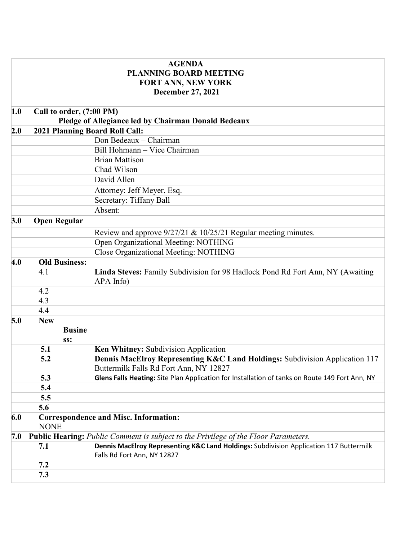| <b>AGENDA</b> |                                                                                            |                                                                                                                       |
|---------------|--------------------------------------------------------------------------------------------|-----------------------------------------------------------------------------------------------------------------------|
|               |                                                                                            | <b>PLANNING BOARD MEETING</b>                                                                                         |
|               |                                                                                            | <b>FORT ANN, NEW YORK</b>                                                                                             |
|               |                                                                                            | <b>December 27, 2021</b>                                                                                              |
| 1.0           | Call to order, (7:00 PM)                                                                   |                                                                                                                       |
|               |                                                                                            | Pledge of Allegiance led by Chairman Donald Bedeaux                                                                   |
| 2.0           | 2021 Planning Board Roll Call:                                                             |                                                                                                                       |
|               |                                                                                            | Don Bedeaux - Chairman                                                                                                |
|               |                                                                                            | Bill Hohmann - Vice Chairman                                                                                          |
|               |                                                                                            | <b>Brian Mattison</b>                                                                                                 |
|               |                                                                                            | Chad Wilson                                                                                                           |
|               |                                                                                            | David Allen                                                                                                           |
|               |                                                                                            | Attorney: Jeff Meyer, Esq.                                                                                            |
|               |                                                                                            | Secretary: Tiffany Ball                                                                                               |
|               |                                                                                            | Absent:                                                                                                               |
| 3.0           | <b>Open Regular</b>                                                                        |                                                                                                                       |
|               |                                                                                            | Review and approve 9/27/21 & 10/25/21 Regular meeting minutes.                                                        |
|               |                                                                                            | Open Organizational Meeting: NOTHING                                                                                  |
|               |                                                                                            | Close Organizational Meeting: NOTHING                                                                                 |
| 4.0           | <b>Old Business:</b>                                                                       |                                                                                                                       |
|               | 4.1                                                                                        | Linda Steves: Family Subdivision for 98 Hadlock Pond Rd Fort Ann, NY (Awaiting<br>APA Info)                           |
|               | 4.2                                                                                        |                                                                                                                       |
|               | 4.3                                                                                        |                                                                                                                       |
|               | 4.4                                                                                        |                                                                                                                       |
| 5.0           | <b>New</b>                                                                                 |                                                                                                                       |
|               | <b>Busine</b><br>SS:                                                                       |                                                                                                                       |
|               | 5.1                                                                                        | Ken Whitney: Subdivision Application                                                                                  |
|               | 5.2                                                                                        | Dennis MacElroy Representing K&C Land Holdings: Subdivision Application 117<br>Buttermilk Falls Rd Fort Ann, NY 12827 |
|               | 5.3                                                                                        | Glens Falls Heating: Site Plan Application for Installation of tanks on Route 149 Fort Ann, NY                        |
|               | 5.4                                                                                        |                                                                                                                       |
|               | 5.5                                                                                        |                                                                                                                       |
|               | 5.6                                                                                        |                                                                                                                       |
| 6.0           | <b>Correspondence and Misc. Information:</b><br><b>NONE</b>                                |                                                                                                                       |
| 7.0           | <b>Public Hearing:</b> Public Comment is subject to the Privilege of the Floor Parameters. |                                                                                                                       |
|               | 7.1                                                                                        | Dennis MacElroy Representing K&C Land Holdings: Subdivision Application 117 Buttermilk<br>Falls Rd Fort Ann, NY 12827 |
|               | 7.2                                                                                        |                                                                                                                       |
|               | 7.3                                                                                        |                                                                                                                       |